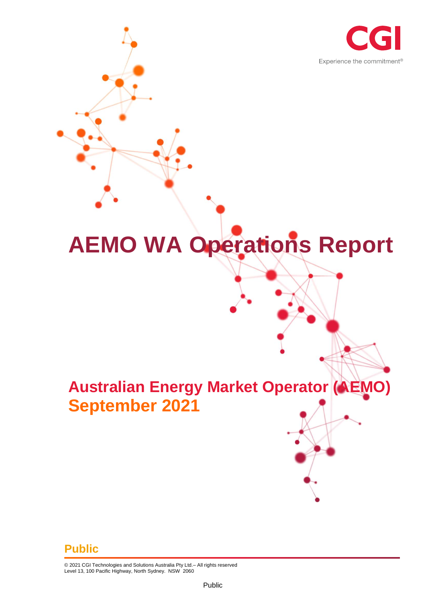

# **AEMO WA Operations Report**

# **Australian Energy Market Operator (AEMO) September 2021**

#### **Public**

© 2021 CGI Technologies and Solutions Australia Pty Ltd.– All rights reserved Level 13, 100 Pacific Highway, North Sydney. NSW 2060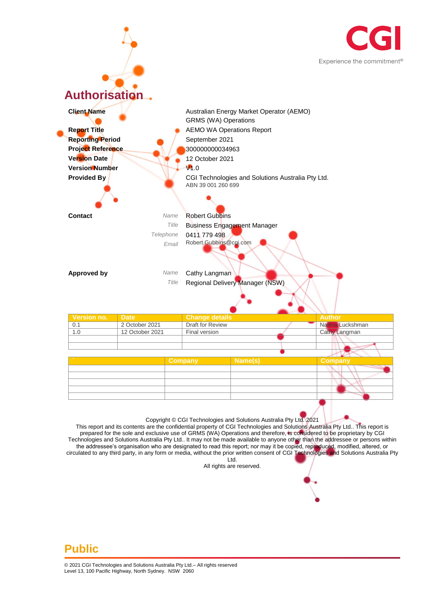



This report and its contents are the confidential property of CGI Technologies and Solutions Australia Pty Ltd.. This report is prepared for the sole and exclusive use of GRMS (WA) Operations and therefore, is considered to be proprietary by CGI Technologies and Solutions Australia Pty Ltd.. It may not be made available to anyone other than the addressee or persons within the addressee's organisation who are designated to read this report; nor may it be copied, reproduced, modified, altered, or circulated to any third party, in any form or media, without the prior written consent of CGI Technologies and Solutions Australia Pty Ltd.

All rights are reserved.

#### **Public**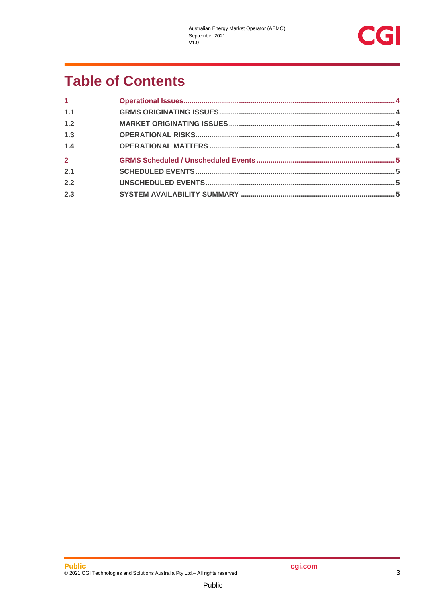J



## **Table of Contents**

| 1 <sup>1</sup> |  |
|----------------|--|
| 1.1            |  |
| 1.2            |  |
| 1.3            |  |
| 1.4            |  |
| $\overline{2}$ |  |
| 2.1            |  |
| 2.2            |  |
| 2.3            |  |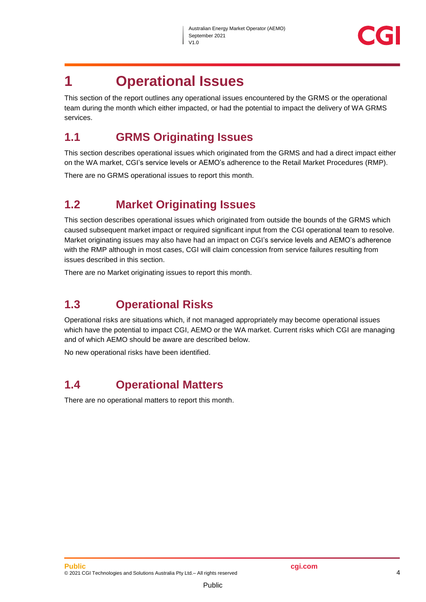

### <span id="page-3-0"></span>**1 Operational Issues**

This section of the report outlines any operational issues encountered by the GRMS or the operational team during the month which either impacted, or had the potential to impact the delivery of WA GRMS services.

#### <span id="page-3-1"></span>**1.1 GRMS Originating Issues**

This section describes operational issues which originated from the GRMS and had a direct impact either on the WA market, CGI's service levels or AEMO's adherence to the Retail Market Procedures (RMP).

There are no GRMS operational issues to report this month.

#### <span id="page-3-2"></span>**1.2 Market Originating Issues**

This section describes operational issues which originated from outside the bounds of the GRMS which caused subsequent market impact or required significant input from the CGI operational team to resolve. Market originating issues may also have had an impact on CGI's service levels and AEMO's adherence with the RMP although in most cases, CGI will claim concession from service failures resulting from issues described in this section.

There are no Market originating issues to report this month.

#### <span id="page-3-3"></span>**1.3 Operational Risks**

Operational risks are situations which, if not managed appropriately may become operational issues which have the potential to impact CGI, AEMO or the WA market. Current risks which CGI are managing and of which AEMO should be aware are described below.

No new operational risks have been identified.

#### <span id="page-3-4"></span>**1.4 Operational Matters**

There are no operational matters to report this month.

Public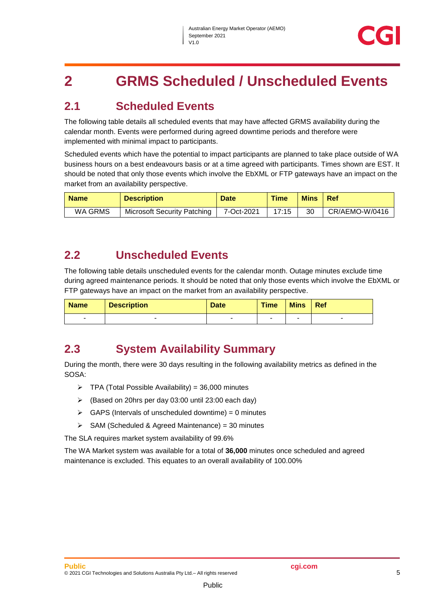## <span id="page-4-0"></span>**2 GRMS Scheduled / Unscheduled Events**

#### <span id="page-4-1"></span>**2.1 Scheduled Events**

The following table details all scheduled events that may have affected GRMS availability during the calendar month. Events were performed during agreed downtime periods and therefore were implemented with minimal impact to participants.

Scheduled events which have the potential to impact participants are planned to take place outside of WA business hours on a best endeavours basis or at a time agreed with participants. Times shown are EST. It should be noted that only those events which involve the EbXML or FTP gateways have an impact on the market from an availability perspective.

| <b>Name</b> | <b>Description</b>                 | <b>Date</b> | <b>Time</b> | <b>Mins</b> | <b>Ref</b>     |
|-------------|------------------------------------|-------------|-------------|-------------|----------------|
| WA GRMS     | <b>Microsoft Security Patching</b> | 7-Oct-2021  | 17:15       | 30          | CR/AEMO-W/0416 |

#### <span id="page-4-2"></span>**2.2 Unscheduled Events**

The following table details unscheduled events for the calendar month. Outage minutes exclude time during agreed maintenance periods. It should be noted that only those events which involve the EbXML or FTP gateways have an impact on the market from an availability perspective.

| <b>Name</b> | <b>Description</b> | <b>Date</b> | <b>Time</b> | <b>Mins</b> | Ref |
|-------------|--------------------|-------------|-------------|-------------|-----|
| -           |                    |             |             |             | -   |

#### <span id="page-4-3"></span>**2.3 System Availability Summary**

During the month, there were 30 days resulting in the following availability metrics as defined in the SOSA:

- $\triangleright$  TPA (Total Possible Availability) = 36,000 minutes
- (Based on 20hrs per day 03:00 until 23:00 each day)
- $\triangleright$  GAPS (Intervals of unscheduled downtime) = 0 minutes
- $\triangleright$  SAM (Scheduled & Agreed Maintenance) = 30 minutes

The SLA requires market system availability of 99.6%

The WA Market system was available for a total of **36,000** minutes once scheduled and agreed maintenance is excluded. This equates to an overall availability of 100.00%